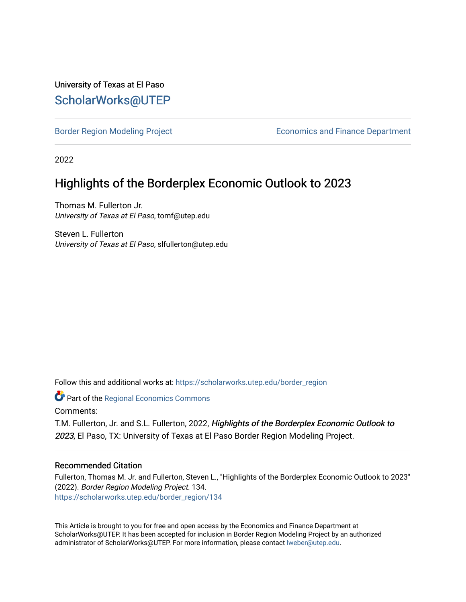### University of Texas at El Paso [ScholarWorks@UTEP](https://scholarworks.utep.edu/)

[Border Region Modeling Project](https://scholarworks.utep.edu/border_region) **Example 2018** Economics and Finance Department

2022

## Highlights of the Borderplex Economic Outlook to 2023

Thomas M. Fullerton Jr. University of Texas at El Paso, tomf@utep.edu

Steven L. Fullerton University of Texas at El Paso, slfullerton@utep.edu

Follow this and additional works at: [https://scholarworks.utep.edu/border\\_region](https://scholarworks.utep.edu/border_region?utm_source=scholarworks.utep.edu%2Fborder_region%2F134&utm_medium=PDF&utm_campaign=PDFCoverPages) 

Part of the [Regional Economics Commons](http://network.bepress.com/hgg/discipline/1307?utm_source=scholarworks.utep.edu%2Fborder_region%2F134&utm_medium=PDF&utm_campaign=PDFCoverPages)

Comments:

T.M. Fullerton, Jr. and S.L. Fullerton, 2022, Highlights of the Borderplex Economic Outlook to 2023, El Paso, TX: University of Texas at El Paso Border Region Modeling Project.

#### Recommended Citation

Fullerton, Thomas M. Jr. and Fullerton, Steven L., "Highlights of the Borderplex Economic Outlook to 2023" (2022). Border Region Modeling Project. 134. [https://scholarworks.utep.edu/border\\_region/134](https://scholarworks.utep.edu/border_region/134?utm_source=scholarworks.utep.edu%2Fborder_region%2F134&utm_medium=PDF&utm_campaign=PDFCoverPages) 

This Article is brought to you for free and open access by the Economics and Finance Department at ScholarWorks@UTEP. It has been accepted for inclusion in Border Region Modeling Project by an authorized administrator of ScholarWorks@UTEP. For more information, please contact [lweber@utep.edu](mailto:lweber@utep.edu).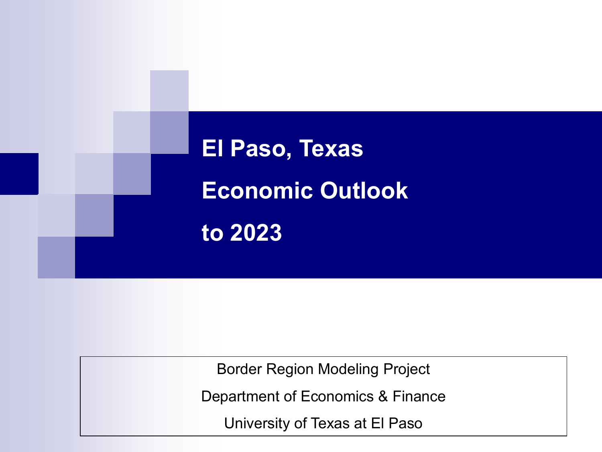

Border Region Modeling Project

Department of Economics & Finance

University of Texas at El Paso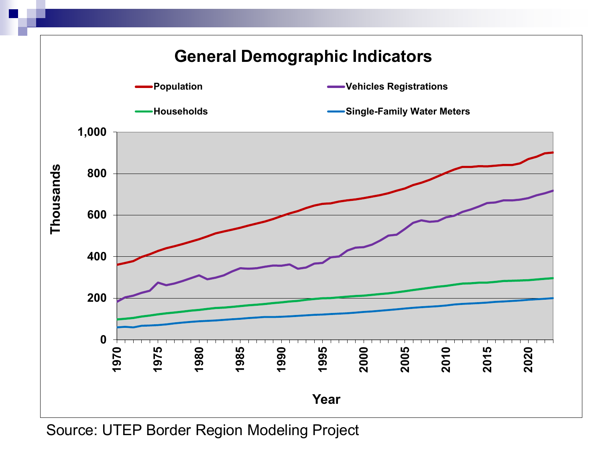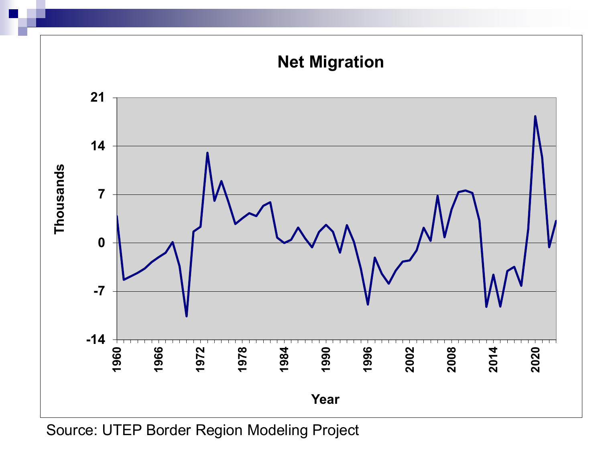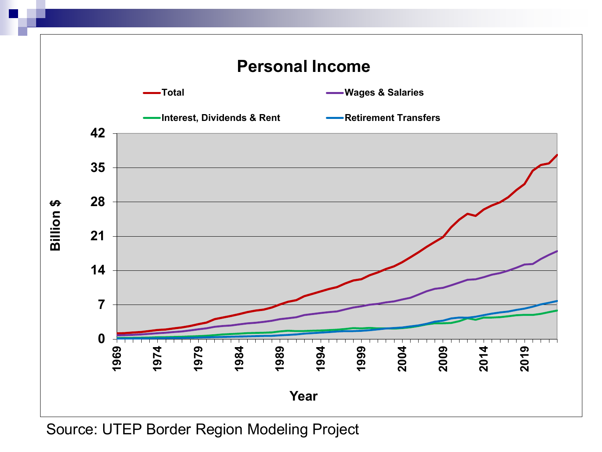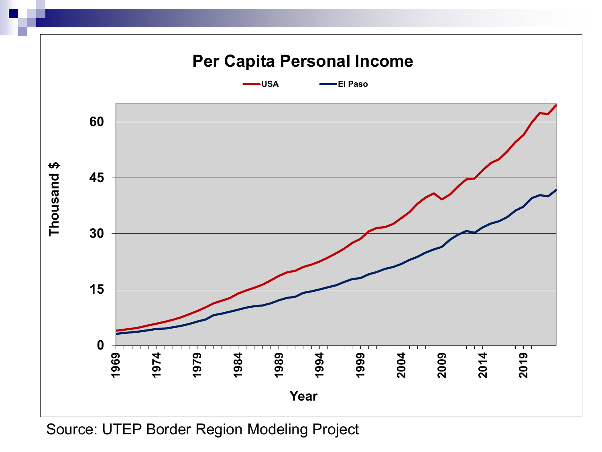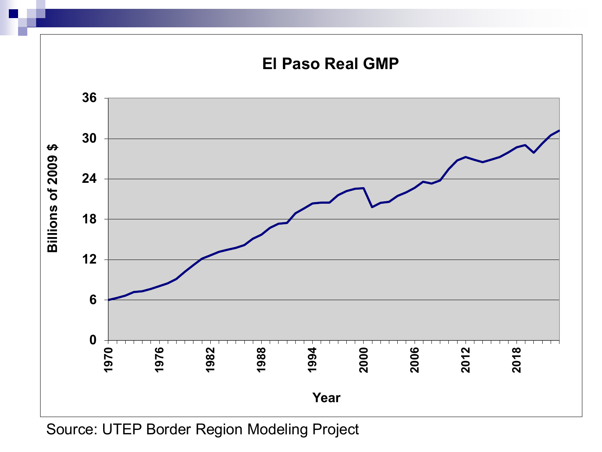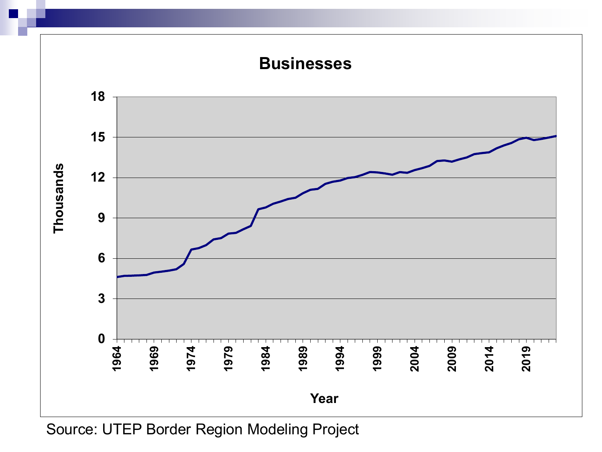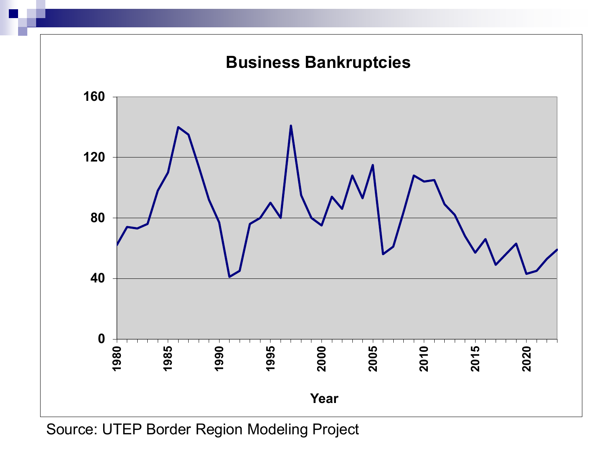

Source: UTEP Border Region Modeling Project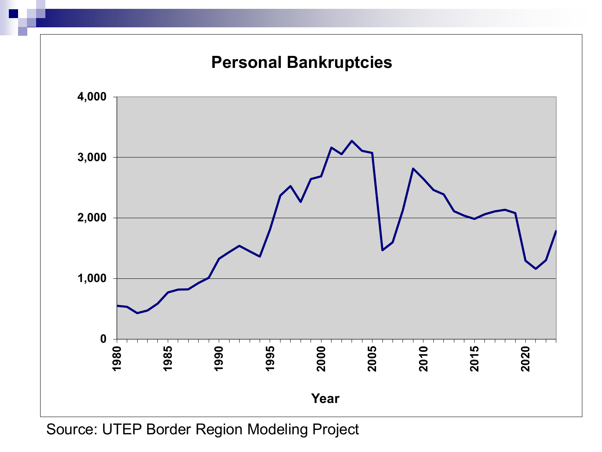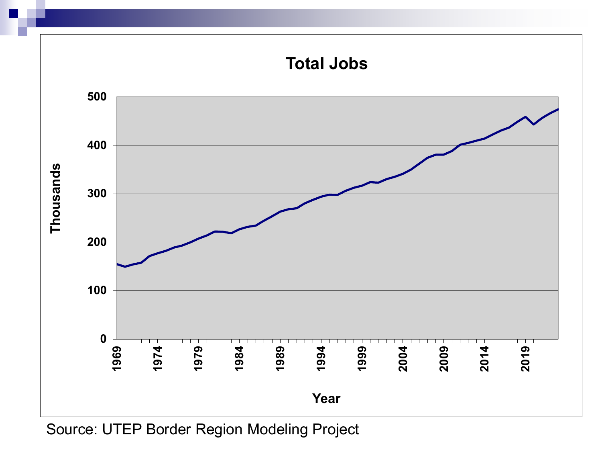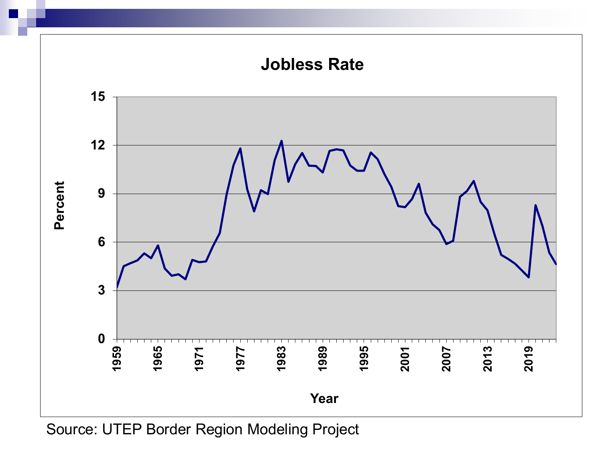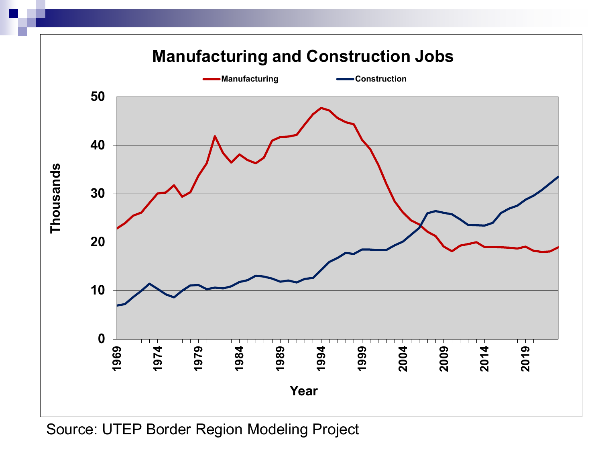

Source: UTEP Border Region Modeling Project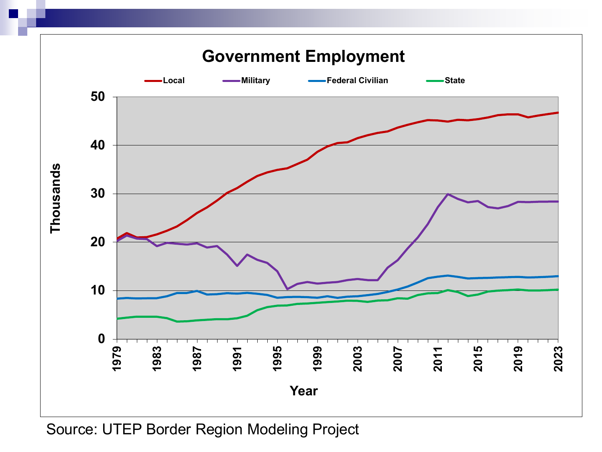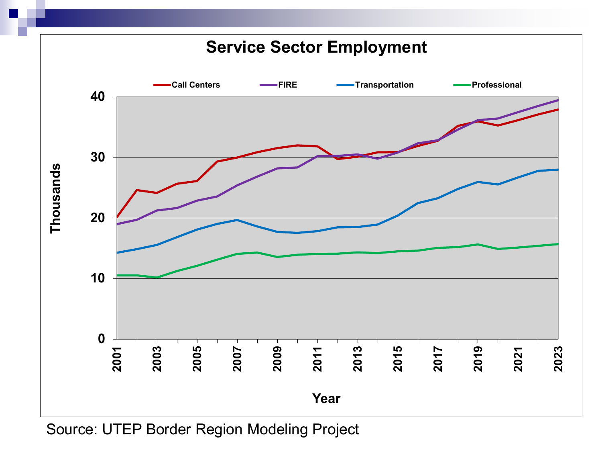

Source: UTEP Border Region Modeling Project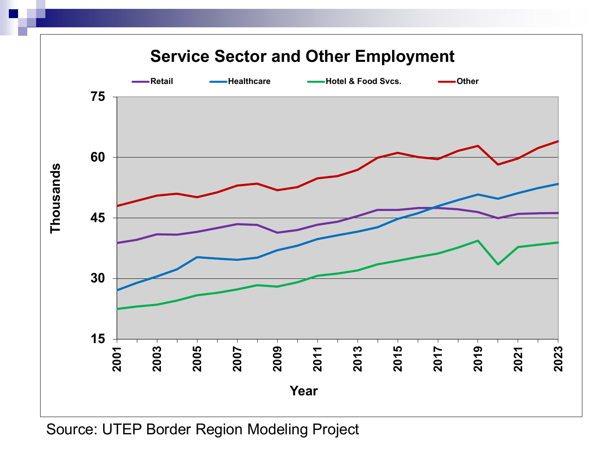

Source: UTEP Border Region Modeling Project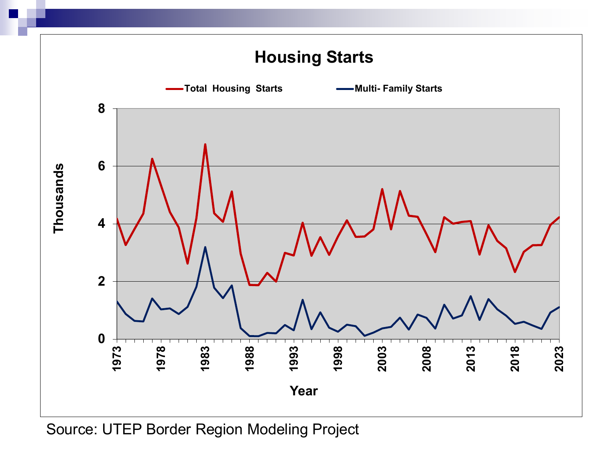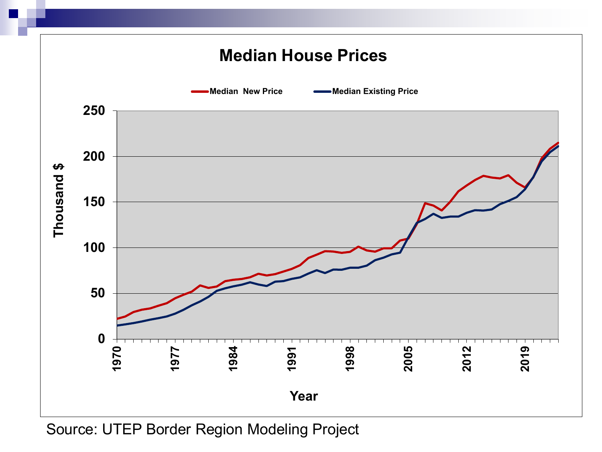

Source: UTEP Border Region Modeling Project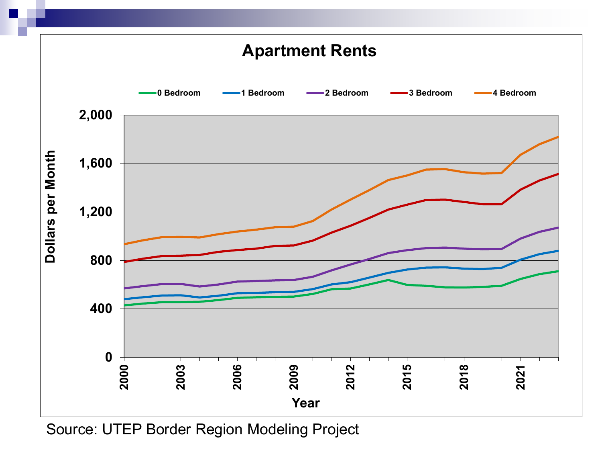

Source: UTEP Border Region Modeling Project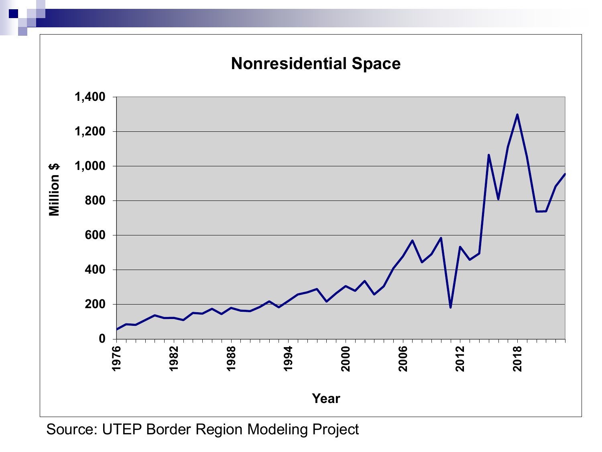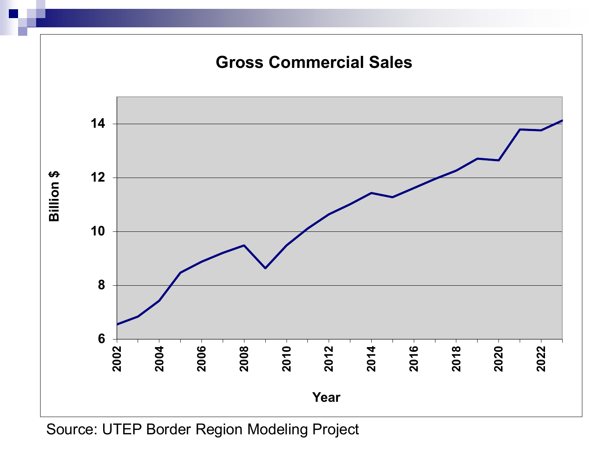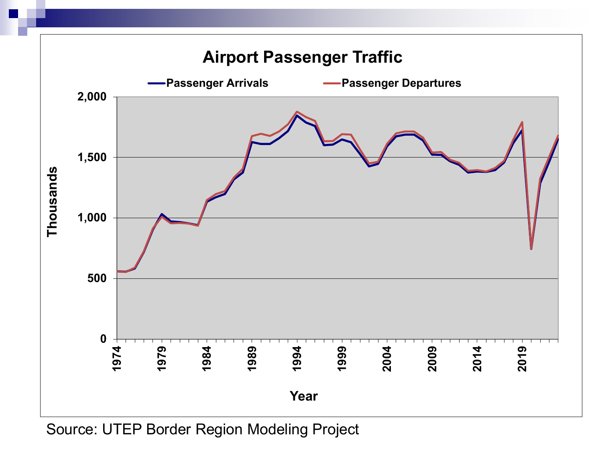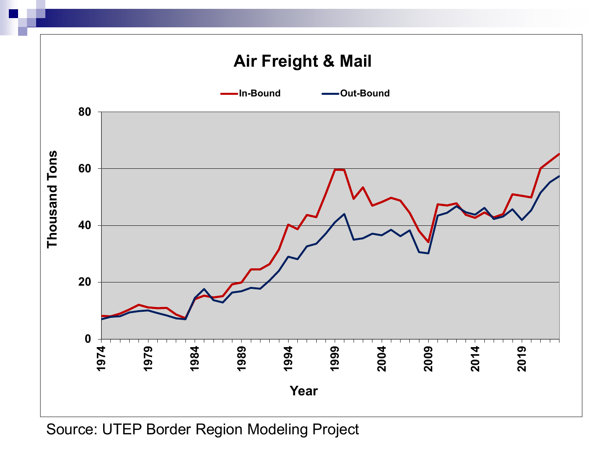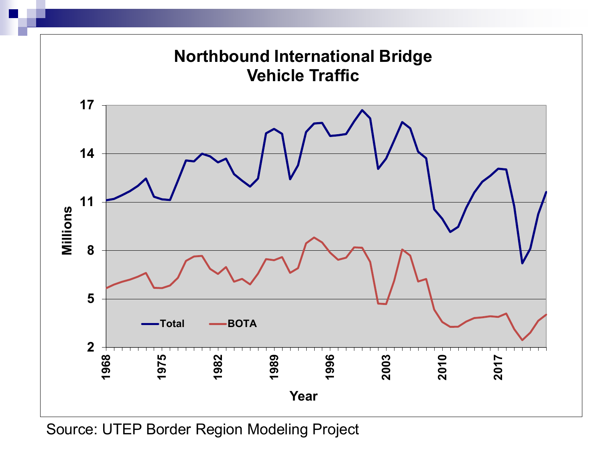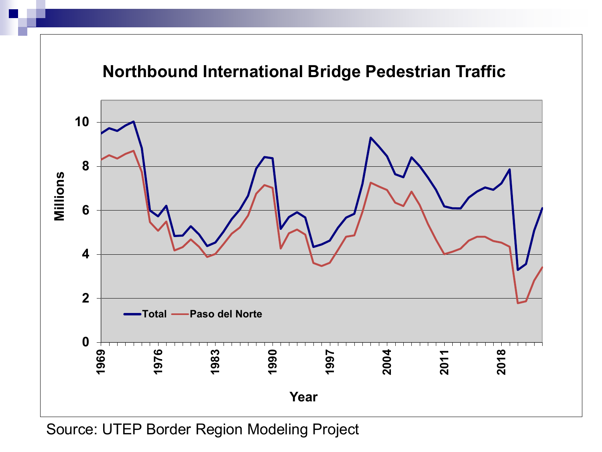# **Northbound International Bridge Pedestrian Traffic**

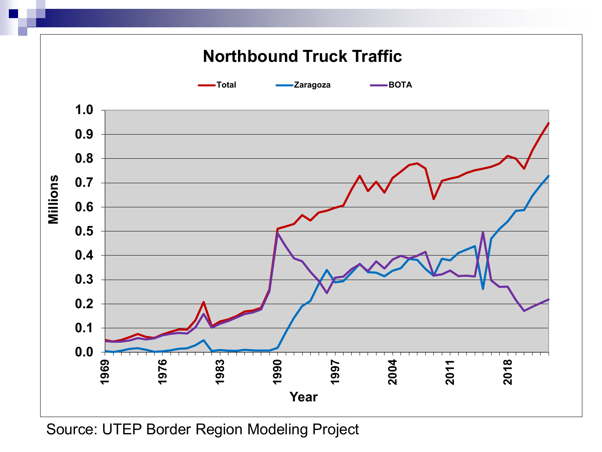

Source: UTEP Border Region Modeling Project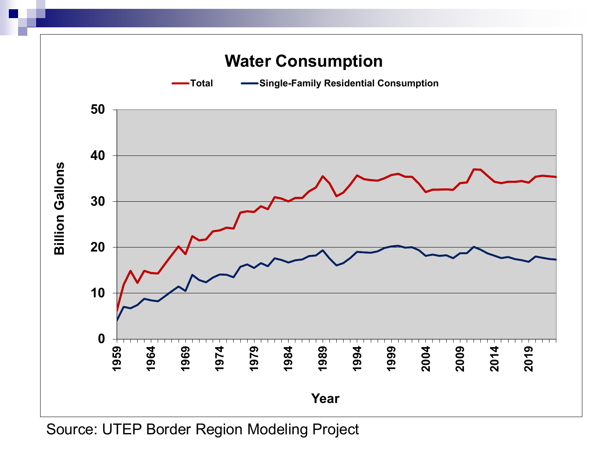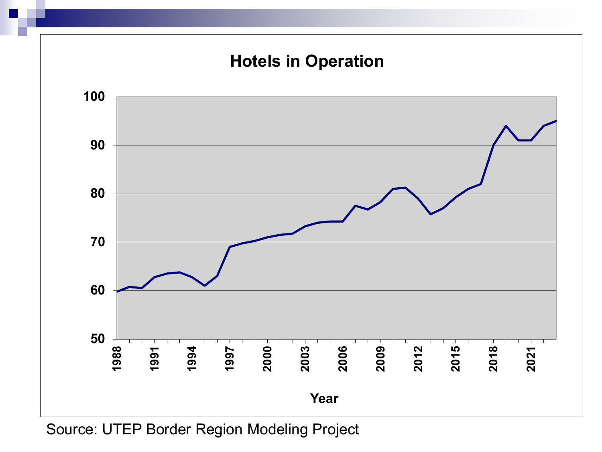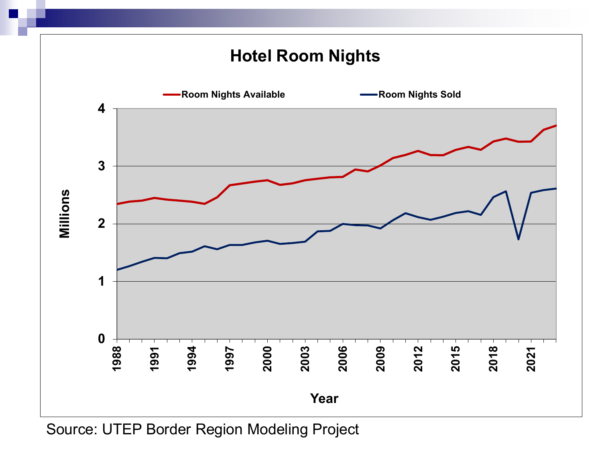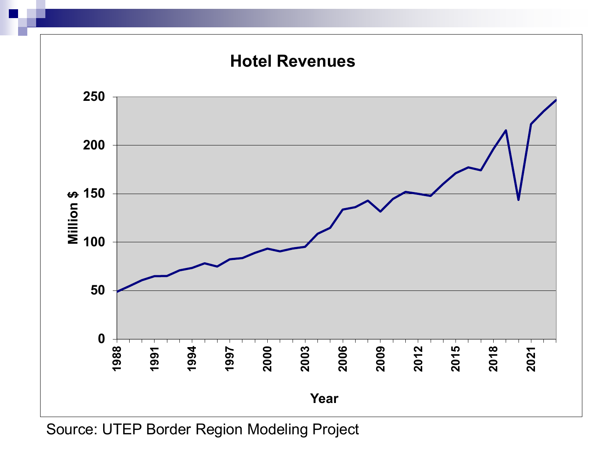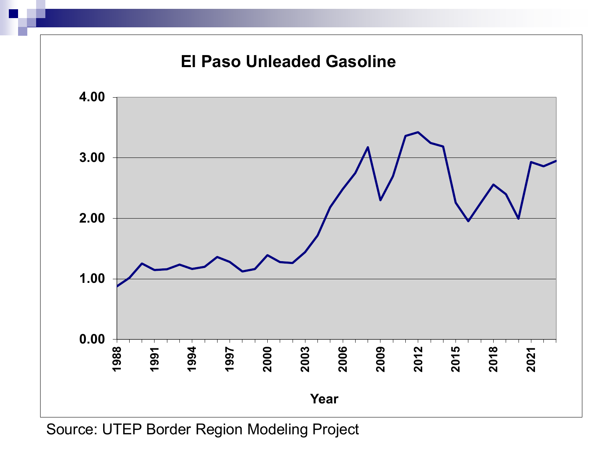

Source: UTEP Border Region Modeling Project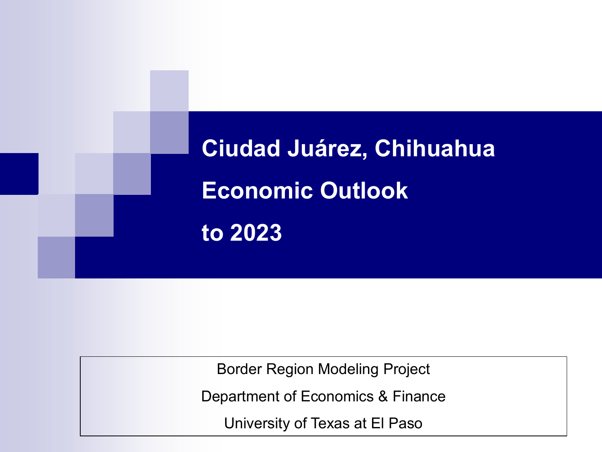**Ciudad Juárez, Chihuahua Economic Outlook to 2023**

Border Region Modeling Project

Department of Economics & Finance

University of Texas at El Paso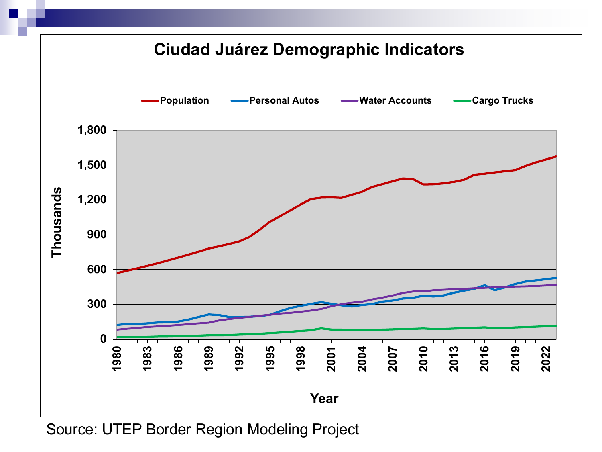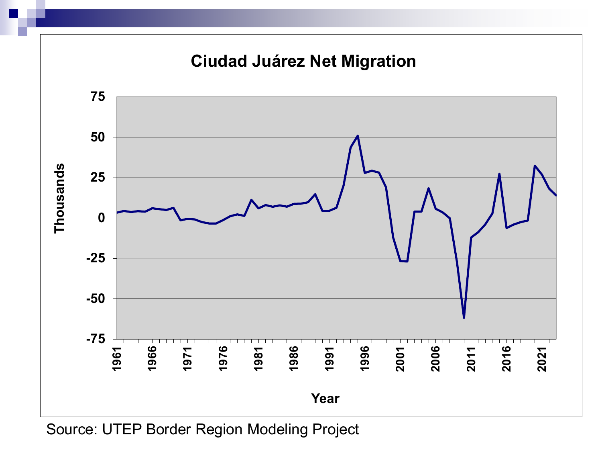

Source: UTEP Border Region Modeling Project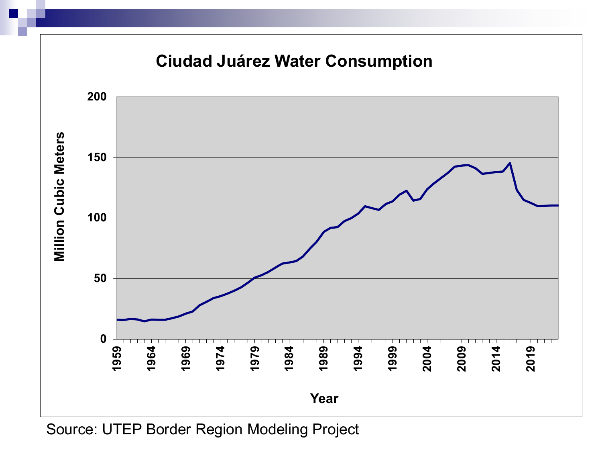

Source: UTEP Border Region Modeling Project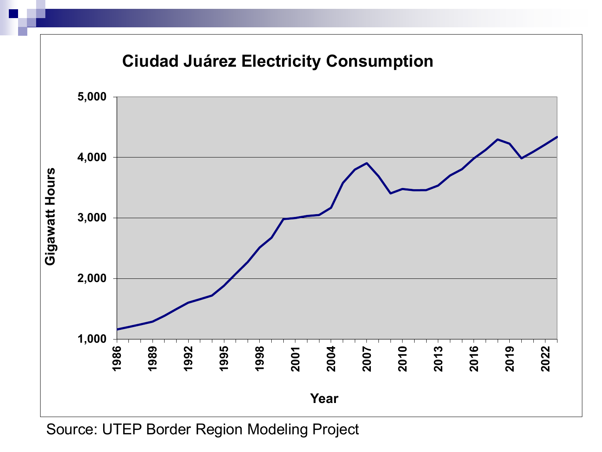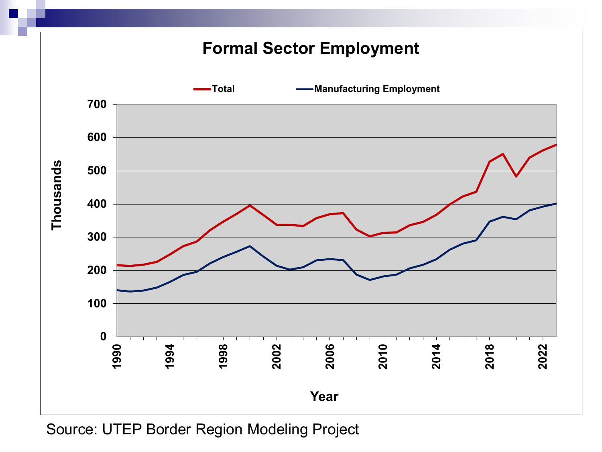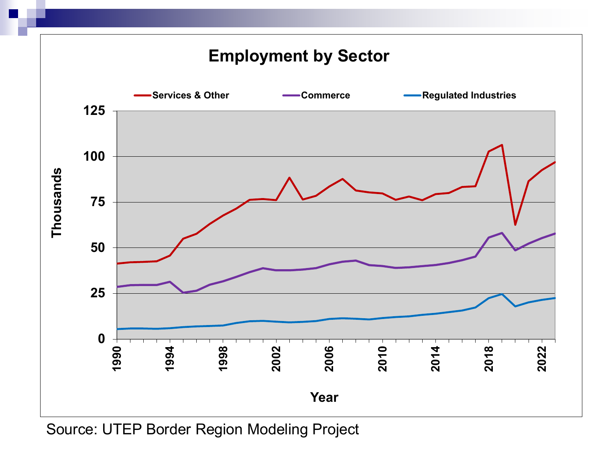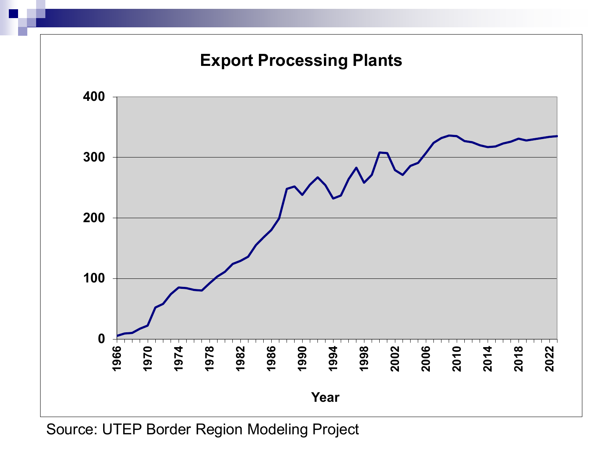

Source: UTEP Border Region Modeling Project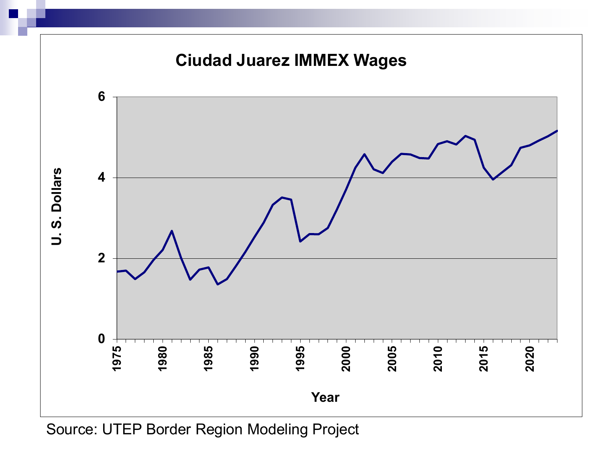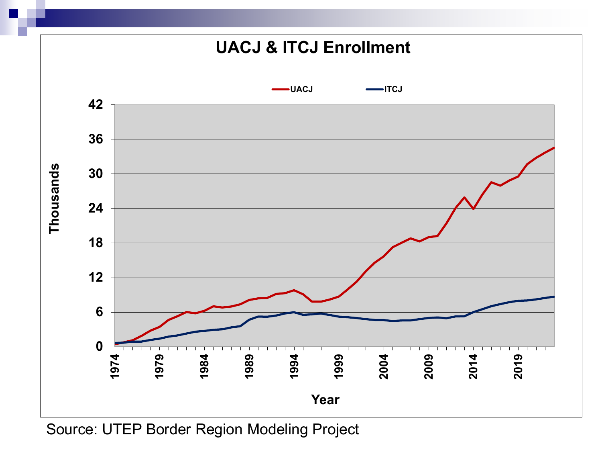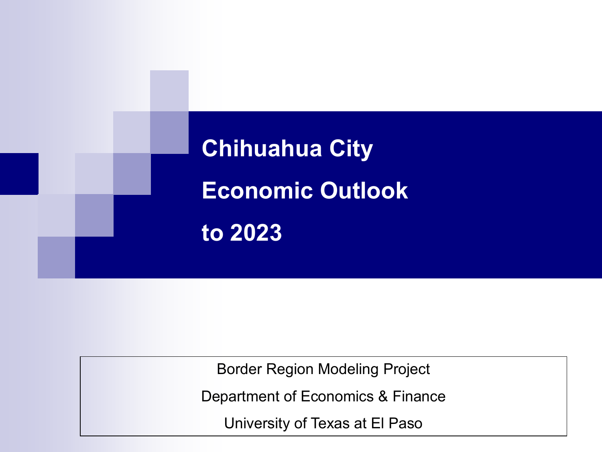

Border Region Modeling Project

Department of Economics & Finance

University of Texas at El Paso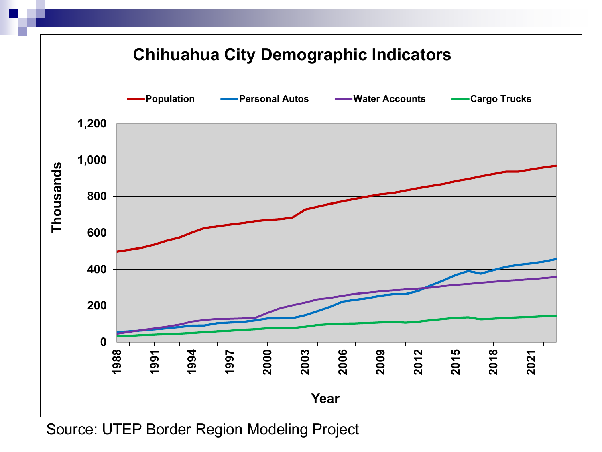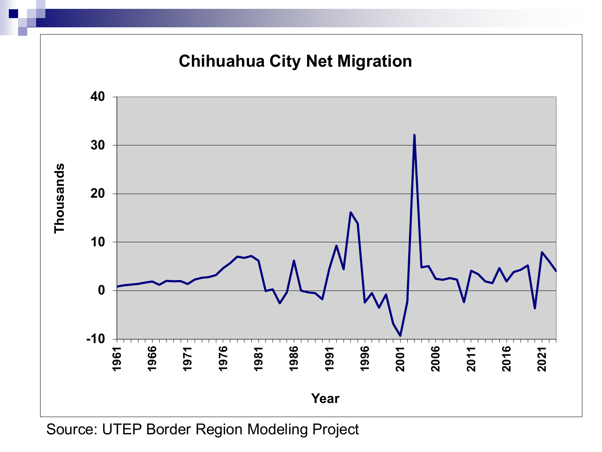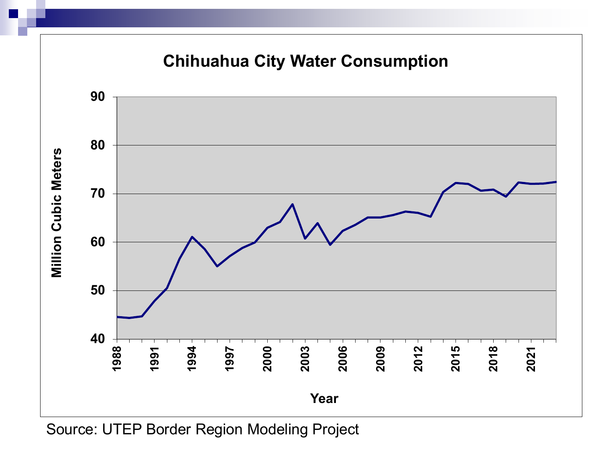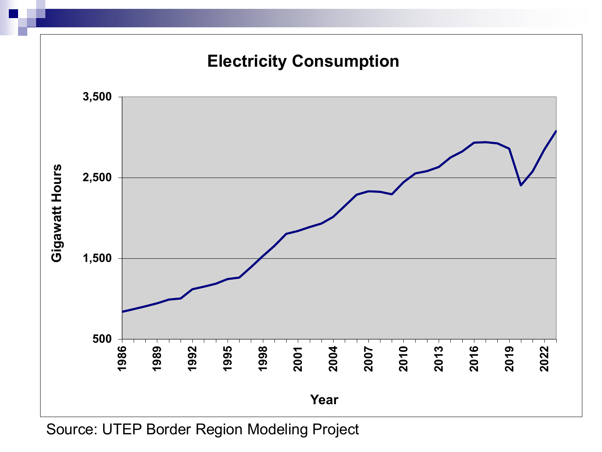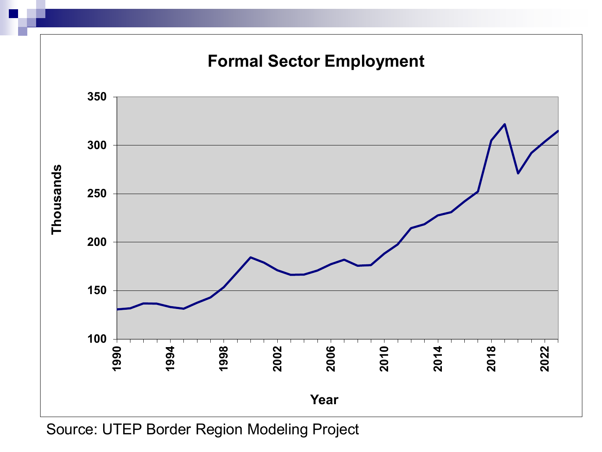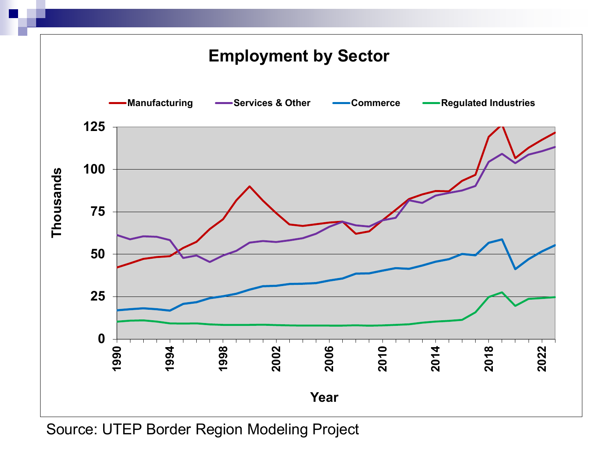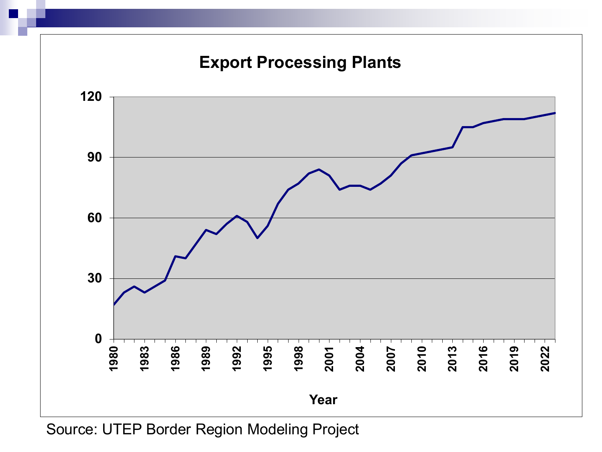

Source: UTEP Border Region Modeling Project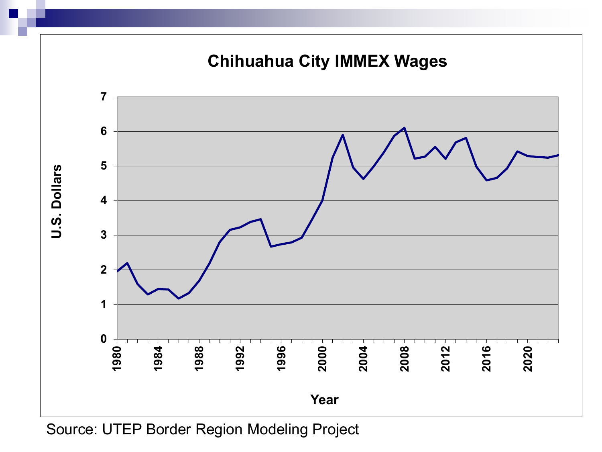

Source: UTEP Border Region Modeling Project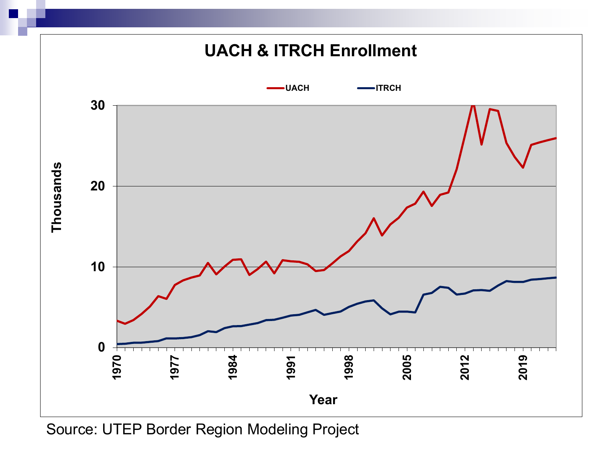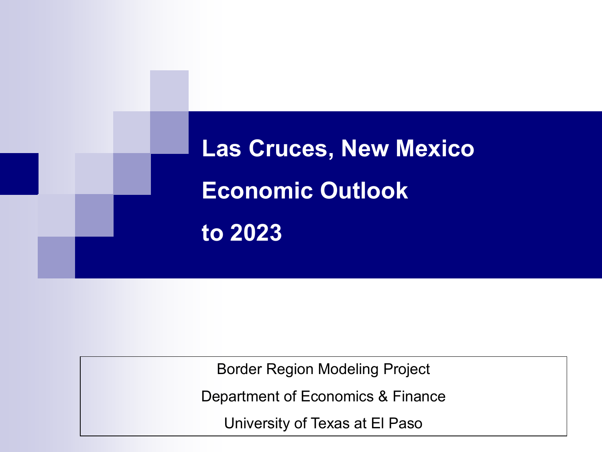

Border Region Modeling Project

Department of Economics & Finance

University of Texas at El Paso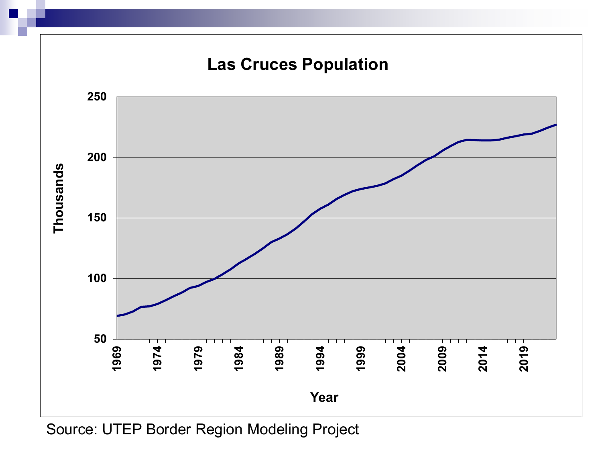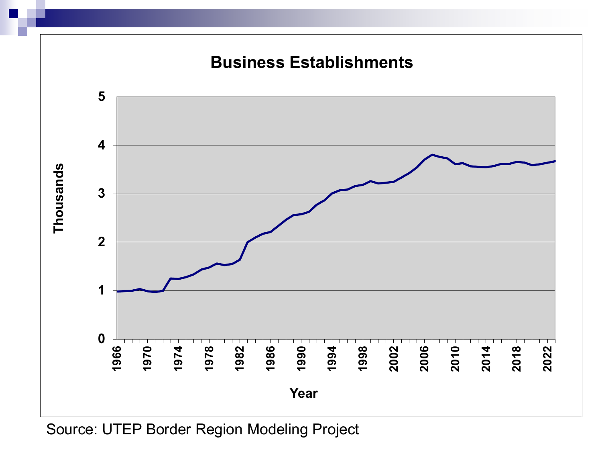

Source: UTEP Border Region Modeling Project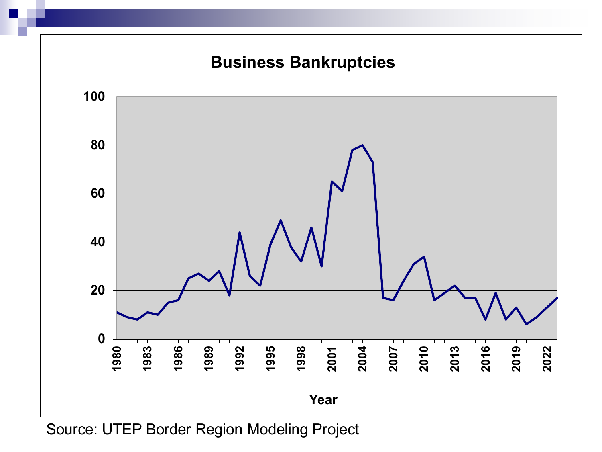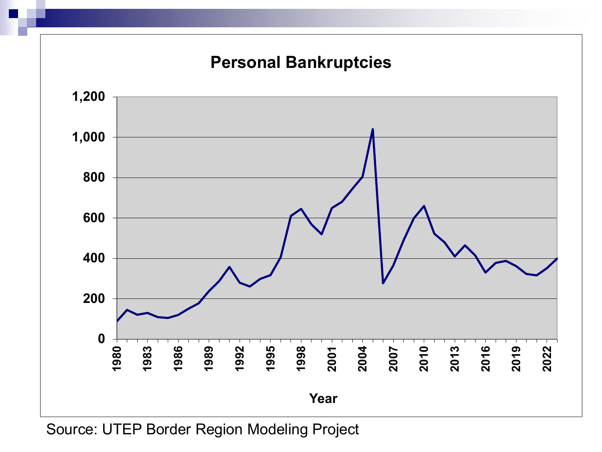

Source: UTEP Border Region Modeling Project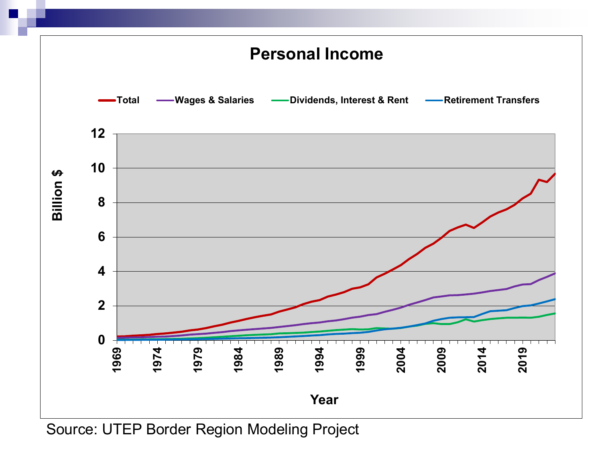

Source: UTEP Border Region Modeling Project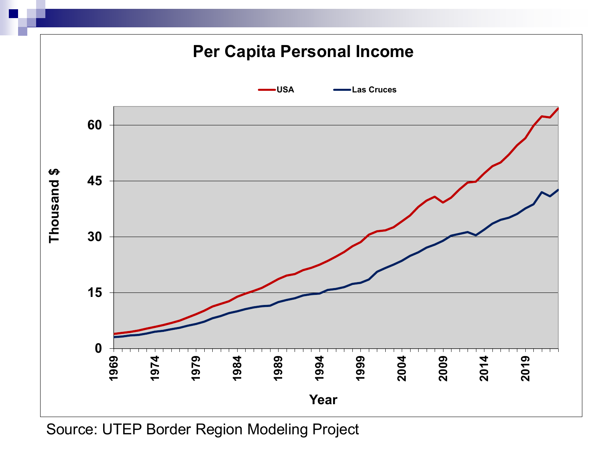

Source: UTEP Border Region Modeling Project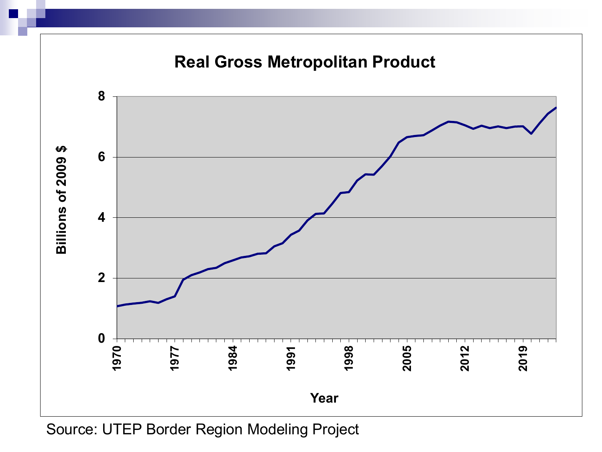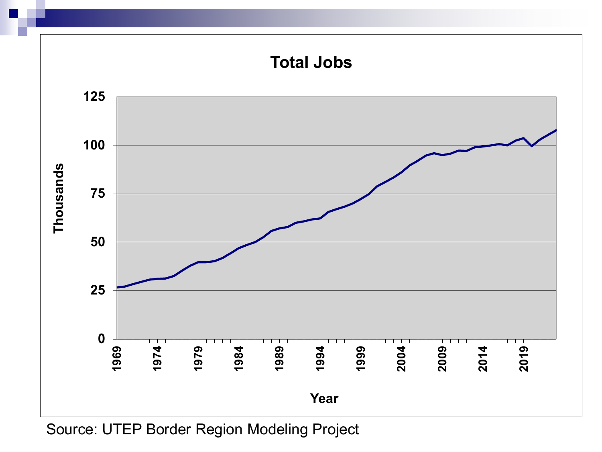

Source: UTEP Border Region Modeling Project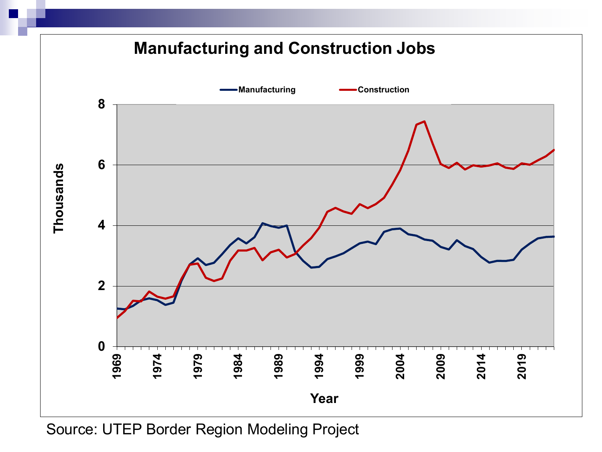

Source: UTEP Border Region Modeling Project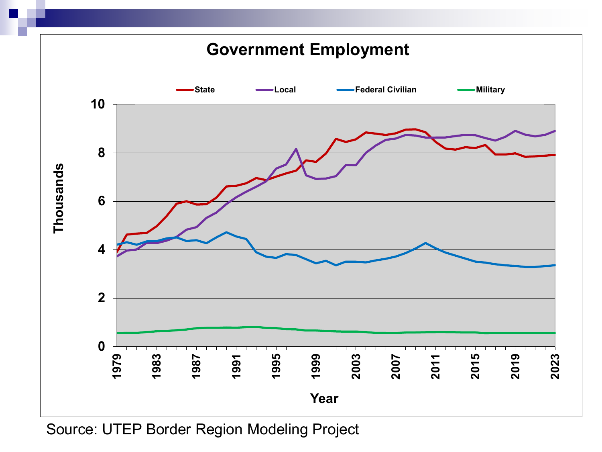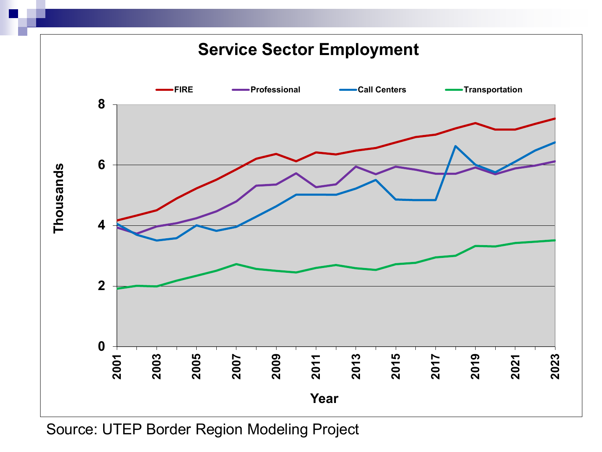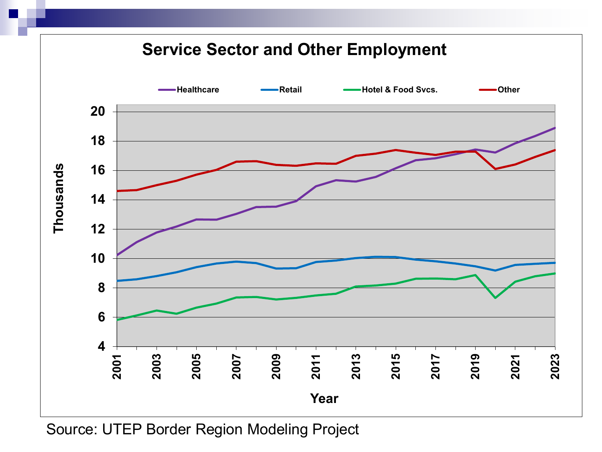